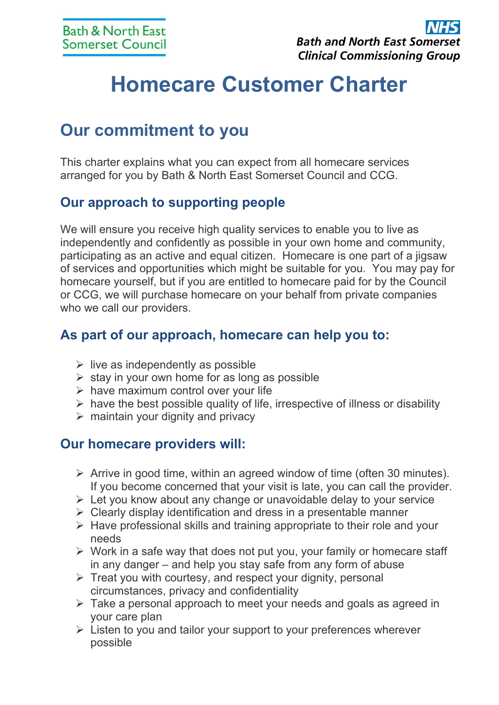# **Homecare Customer Charter**

## **Our commitment to you**

This charter explains what you can expect from all homecare services arranged for you by Bath & North East Somerset Council and CCG.

#### **Our approach to supporting people**

We will ensure you receive high quality services to enable you to live as independently and confidently as possible in your own home and community, participating as an active and equal citizen. Homecare is one part of a jigsaw of services and opportunities which might be suitable for you. You may pay for homecare yourself, but if you are entitled to homecare paid for by the Council or CCG, we will purchase homecare on your behalf from private companies who we call our providers.

#### **As part of our approach, homecare can help you to:**

- $\triangleright$  live as independently as possible
- $\triangleright$  stay in your own home for as long as possible
- $\triangleright$  have maximum control over your life
- $\triangleright$  have the best possible quality of life, irrespective of illness or disability
- $\triangleright$  maintain your dignity and privacy

#### **Our homecare providers will:**

- $\triangleright$  Arrive in good time, within an agreed window of time (often 30 minutes). If you become concerned that your visit is late, you can call the provider.
- $\triangleright$  Let you know about any change or unavoidable delay to your service
- $\triangleright$  Clearly display identification and dress in a presentable manner
- $\triangleright$  Have professional skills and training appropriate to their role and your needs
- $\triangleright$  Work in a safe way that does not put you, your family or homecare staff in any danger – and help you stay safe from any form of abuse
- $\triangleright$  Treat you with courtesy, and respect your dignity, personal circumstances, privacy and confidentiality
- $\triangleright$  Take a personal approach to meet your needs and goals as agreed in your care plan
- $\triangleright$  Listen to you and tailor your support to your preferences wherever possible